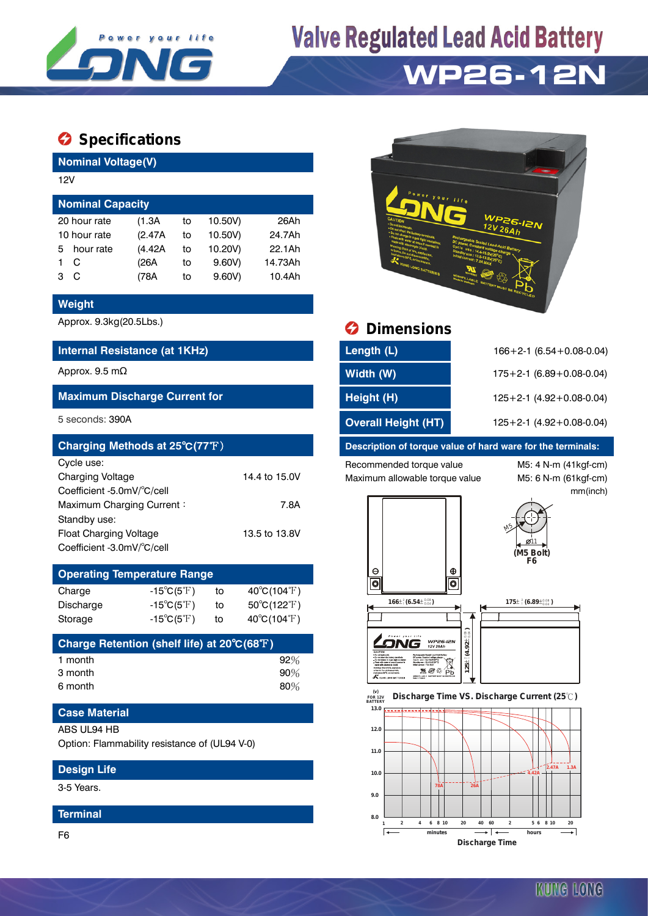

# **Valve Regulated Lead Acid Battery**

## **WP26-12N**

### $\bullet$  Specifications

**Nominal Voltage(V)**

| 12V                     |              |         |    |         |         |  |  |  |
|-------------------------|--------------|---------|----|---------|---------|--|--|--|
| <b>Nominal Capacity</b> |              |         |    |         |         |  |  |  |
|                         | 20 hour rate | (1.3A)  | to | 10.50V) | 26Ah    |  |  |  |
| 10 hour rate            |              | (2.47A) | to | 10.50V) | 24.7Ah  |  |  |  |
| 5                       | hour rate    | (4.42A) | to | 10.20V) | 22.1Ah  |  |  |  |
|                         | C            | (26A    | to | 9.60V   | 14.73Ah |  |  |  |
| з                       | C            | (78A    | to | 9.60V   | 10.4Ah  |  |  |  |

#### **Weight**

#### **Internal Resistance (at 1KHz)**

#### **Maximum Discharge Current for**

| Charging Methods at 25°C(77°F) |               |
|--------------------------------|---------------|
| Cycle use:                     |               |
| <b>Charging Voltage</b>        | 14.4 to 15.0V |
| Coefficient -5.0mV/°C/cell     |               |
| Maximum Charging Current:      | 7.8A          |
| Standby use:                   |               |
| <b>Float Charging Voltage</b>  | 13.5 to 13.8V |
| Coefficient -3.0mV/°C/cell     |               |

| <b>Operating Temperature Range</b> |                            |    |                             |  |  |  |  |
|------------------------------------|----------------------------|----|-----------------------------|--|--|--|--|
| Charge                             | $-15^{\circ}C(5^{\circ}F)$ | to | $40^{\circ}C(104^{\circ}F)$ |  |  |  |  |
| Discharge                          | $-15^{\circ}C(5^{\circ}F)$ | tο | $50^{\circ}C(122^{\circ}F)$ |  |  |  |  |
| Storage                            | $-15^{\circ}C(5^{\circ}F)$ | to | $40^{\circ}C(104^{\circ}F)$ |  |  |  |  |

| Charge Retention (shelf life) at 20°C(68°F) |     |
|---------------------------------------------|-----|
| 1 month                                     | 92% |
| 3 month                                     | 90% |
| 6 month                                     | 80% |

#### **Case Material**

#### ABS UL94 HB

Option: Flammability resistance of (UL94 V-0)

#### **Design Life**

3-5 Years.

#### **Terminal**

F6



### Approx. 9.3kg(20.5Lbs.) **Dimensions**

| Internal Resistance (at 1KHz)        | Length (L)                 | $166 + 2 - 1$ (6.54 + 0.08 - 0.04) |
|--------------------------------------|----------------------------|------------------------------------|
| Approx. 9.5 mΩ                       | Width (W)                  | $175+2-1$ (6.89 + 0.08 - 0.04)     |
| <b>Maximum Discharge Current for</b> | Height (H)                 | $125+2-1$ (4.92 + 0.08 - 0.04)     |
| 5 seconds: 390A                      | <b>Overall Height (HT)</b> | $125+2-1$ (4.92 + 0.08 - 0.04)     |

#### **Description of torque value of hard ware for the terminals:**

Recommended torque value M5: 4 N-m (41kgf-cm) Maximum allowable torque value M5: 6 N-m (61kgf-cm)

**8.0**

ा∓

mm(inch)



**1 2 4 6 8 10 20 40 60 2 5 6 8 10 20 minutes hours Discharge Time**

ᢖ